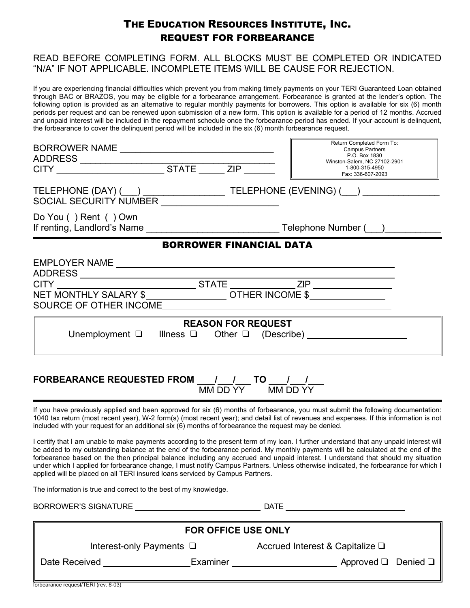## THE EDUCATION RESOURCES INSTITUTE, INC. REQUEST FOR FORBEARANCE

## READ BEFORE COMPLETING FORM. ALL BLOCKS MUST BE COMPLETED OR INDICATED "N/A" IF NOT APPLICABLE. INCOMPLETE ITEMS WILL BE CAUSE FOR REJECTION.

If you are experiencing financial difficulties which prevent you from making timely payments on your TERI Guaranteed Loan obtained through BAC or BRAZOS, you may be eligible for a forbearance arrangement. Forbearance is granted at the lender's option. The following option is provided as an alternative to regular monthly payments for borrowers. This option is available for six (6) month periods per request and can be renewed upon submission of a new form. This option is available for a period of 12 months. Accrued and unpaid interest will be included in the repayment schedule once the forbearance period has ended. If your account is delinquent, the forbearance to cover the delinquent period will be included in the six (6) month forbearance request.

|                                                                                                       |                                | Return Completed Form To:<br><b>Campus Partners</b><br>P.O. Box 1830<br>Winston-Salem, NC 27102-2901<br>1-800-315-4950<br>Fax: 336-607-2093 |
|-------------------------------------------------------------------------------------------------------|--------------------------------|---------------------------------------------------------------------------------------------------------------------------------------------|
| SOCIAL SECURITY NUMBER _______________________                                                        |                                | TELEPHONE (DAY) (___) ______________________TELEPHONE (EVENING) (___) ___________                                                           |
| Do You () Rent () Own                                                                                 |                                |                                                                                                                                             |
|                                                                                                       | <b>BORROWER FINANCIAL DATA</b> |                                                                                                                                             |
|                                                                                                       |                                |                                                                                                                                             |
|                                                                                                       |                                |                                                                                                                                             |
|                                                                                                       | <b>REASON FOR REQUEST</b>      |                                                                                                                                             |
|                                                                                                       |                                | Unemployment $\Box$ Illness $\Box$ Other $\Box$ (Describe) ____________________________                                                     |
| FORBEARANCE REQUESTED FROM ____/____/____ TO ____/___/___                                             | MM DD YY MM DD YY              | If you have previously applied and been approved for six (6) months of forbearance, you must submit the following documentation:            |
| included with your request for an additional six (6) months of forbearance the request may be denied. |                                | 1040 tax return (most recent year), W-2 form(s) (most recent year); and detail list of revenues and expenses. If this information is not    |

I certify that I am unable to make payments according to the present term of my loan. I further understand that any unpaid interest will be added to my outstanding balance at the end of the forbearance period. My monthly payments will be calculated at the end of the forbearance based on the then principal balance including any accrued and unpaid interest. I understand that should my situation under which I applied for forbearance change, I must notify Campus Partners. Unless otherwise indicated, the forbearance for which I applied will be placed on all TERI insured loans serviced by Campus Partners.

The information is true and correct to the best of my knowledge.

BORROWER'S SIGNATURE DATE

| <b>FOR OFFICE USE ONLY</b>           |                               |                                         |  |  |  |  |
|--------------------------------------|-------------------------------|-----------------------------------------|--|--|--|--|
|                                      | Interest-only Payments $\Box$ | Accrued Interest & Capitalize $\square$ |  |  |  |  |
| Date Received                        | Examiner                      | Approved $\Box$ Denied $\Box$           |  |  |  |  |
| forbearance request/TERI (rev. 8-03) |                               |                                         |  |  |  |  |